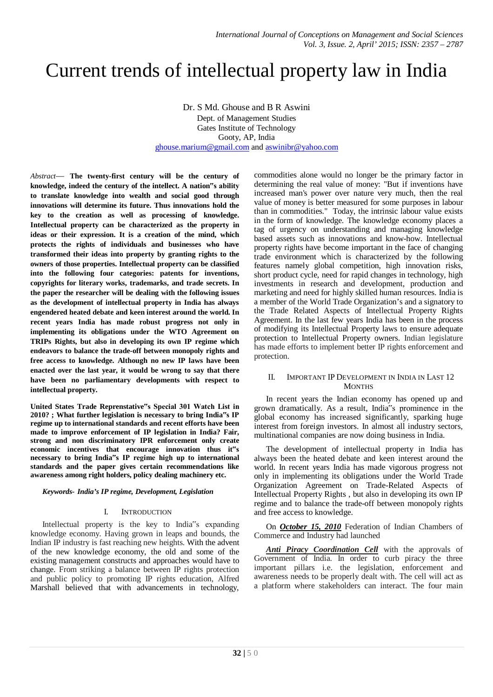# Current trends of intellectual property law in India

Dr. S Md. Ghouse and B R Aswini

Dept. of Management Studies Gates Institute of Technology Gooty, AP, India ghouse.marium@gmail.com and aswinibr@yahoo.com

*Abstract*— **The twenty-first century will be the century of knowledge, indeed the century of the intellect. A nation"s ability to translate knowledge into wealth and social good through innovations will determine its future. Thus innovations hold the key to the creation as well as processing of knowledge. Intellectual property can be characterized as the property in ideas or their expression. It is a creation of the mind, which protects the rights of individuals and businesses who have transformed their ideas into property by granting rights to the owners of those properties. Intellectual property can be classified into the following four categories: patents for inventions, copyrights for literary works, trademarks, and trade secrets. In the paper the researcher will be dealing with the following issues as the development of intellectual property in India has always engendered heated debate and keen interest around the world. In recent years India has made robust progress not only in implementing its obligations under the WTO Agreement on TRIPs Rights, but also in developing its own IP regime which endeavors to balance the trade-off between monopoly rights and free access to knowledge. Although no new IP laws have been enacted over the last year, it would be wrong to say that there have been no parliamentary developments with respect to intellectual property.**

**United States Trade Reprenstative"s Special 301 Watch List in 2010? ; What further legislation is necessary to bring India"s IP regime up to international standards and recent efforts have been made to improve enforcement of IP legislation in India? Fair, strong and non discriminatory IPR enforcement only create economic incentives that encourage innovation thus it"s necessary to bring India"s IP regime high up to international standards and the paper gives certain recommendations like awareness among right holders, policy dealing machinery etc.**

# *Keywords- India's IP regime, Development, Legislation*

# I. INTRODUCTION

Intellectual property is the key to India"s expanding knowledge economy. Having grown in leaps and bounds, the Indian IP industry is fast reaching new heights. With the advent of the new knowledge economy, the old and some of the existing management constructs and approaches would have to change. From striking a balance between IP rights protection and public policy to promoting IP rights education, Alfred Marshall believed that with advancements in technology,

commodities alone would no longer be the primary factor in determining the real value of money: "But if inventions have increased man's power over nature very much, then the real value of money is better measured for some purposes in labour than in commodities." Today, the intrinsic labour value exists in the form of knowledge. The knowledge economy places a tag of urgency on understanding and managing knowledge based assets such as innovations and know-how. Intellectual property rights have become important in the face of changing trade environment which is characterized by the following features namely global competition, high innovation risks, short product cycle, need for rapid changes in technology, high investments in research and development, production and marketing and need for highly skilled human resources. India is a member of the World Trade Organization's and a signatory to the Trade Related Aspects of Intellectual Property Rights Agreement. In the last few years India has been in the process of modifying its Intellectual Property laws to ensure adequate protection to Intellectual Property owners. Indian legislature has made efforts to implement better IP rights enforcement and protection.

#### II. IMPORTANT IP DEVELOPMENT IN INDIA IN LAST 12 **MONTHS**

In recent years the Indian economy has opened up and grown dramatically. As a result, India"s prominence in the global economy has increased significantly, sparking huge interest from foreign investors. In almost all industry sectors, multinational companies are now doing business in India.

The development of intellectual property in India has always been the heated debate and keen interest around the world. In recent years India has made vigorous progress not only in implementing its obligations under the World Trade Organization Agreement on Trade-Related Aspects of Intellectual Property Rights , but also in developing its own IP regime and to balance the trade-off between monopoly rights and free access to knowledge.

On *October 15, 2010* Federation of Indian Chambers of Commerce and Industry had launched

*Anti Piracy Coordination Cell* with the approvals of Government of India. In order to curb piracy the three important pillars i.e. the legislation, enforcement and awareness needs to be properly dealt with. The cell will act as a platform where stakeholders can interact. The four main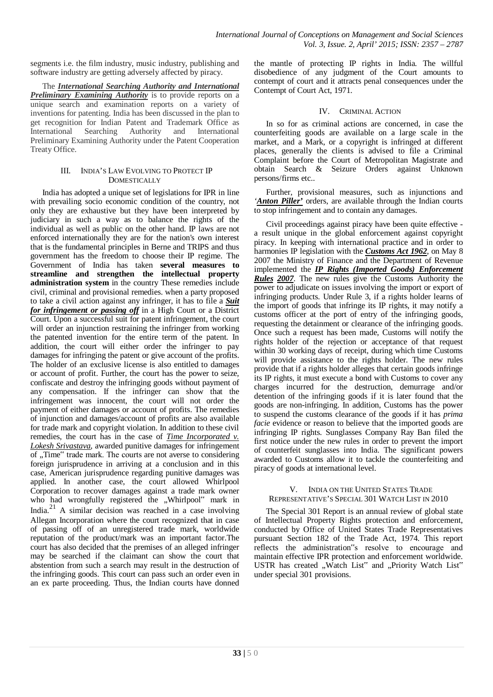segments i.e. the film industry, music industry, publishing and software industry are getting adversely affected by piracy.

The *International Searching Authority and International Preliminary Examining Authority* is to provide reports on a unique search and examination reports on a variety of inventions for patenting. India has been discussed in the plan to get recognition for Indian Patent and Trademark Office as International Searching Authority and International Preliminary Examining Authority under the Patent Cooperation Treaty Office.

# III. INDIA'S LAW EVOLVING TO PROTECT IP **DOMESTICALLY**

India has adopted a unique set of legislations for IPR in line with prevailing socio economic condition of the country, not only they are exhaustive but they have been interpreted by judiciary in such a way as to balance the rights of the individual as well as public on the other hand. IP laws are not enforced internationally they are for the nation's own interest that is the fundamental principles in Berne and TRIPS and thus government has the freedom to choose their IP regime. The Government of India has taken **several measures to streamline and strengthen the intellectual property administration system** in the country These remedies include civil, criminal and provisional remedies. when a party proposed to take a civil action against any infringer, it has to file a *Suit for infringement or passing off* in a High Court or a District Court. Upon a successful suit for patent infringement, the court will order an injunction restraining the infringer from working the patented invention for the entire term of the patent. In addition, the court will either order the infringer to pay damages for infringing the patent or give account of the profits. The holder of an exclusive license is also entitled to damages or account of profit. Further, the court has the power to seize, confiscate and destroy the infringing goods without payment of any compensation. If the infringer can show that the infringement was innocent, the court will not order the payment of either damages or account of profits. The remedies of injunction and damages/account of profits are also available for trade mark and copyright violation. In addition to these civil remedies, the court has in the case of *Time Incorporated v. Lokesh Srivastava*, awarded punitive damages for infringement of "Time" trade mark. The courts are not averse to considering foreign jurisprudence in arriving at a conclusion and in this case, American jurisprudence regarding punitive damages was applied. In another case, the court allowed Whirlpool Corporation to recover damages against a trade mark owner who had wrongfully registered the "Whirlpool" mark in India.<sup>21</sup> A similar decision was reached in a case involving Allegan Incorporation where the court recognized that in case of passing off of an unregistered trade mark, worldwide reputation of the product/mark was an important factor.The court has also decided that the premises of an alleged infringer may be searched if the claimant can show the court that abstention from such a search may result in the destruction of the infringing goods. This court can pass such an order even in an ex parte proceeding. Thus, the Indian courts have donned

the mantle of protecting IP rights in India. The willful disobedience of any judgment of the Court amounts to contempt of court and it attracts penal consequences under the Contempt of Court Act, 1971.

# IV. CRIMINAL ACTION

In so for as criminal actions are concerned, in case the counterfeiting goods are available on a large scale in the market, and a Mark, or a copyright is infringed at different places, generally the clients is advised to file a Criminal Complaint before the Court of Metropolitan Magistrate and obtain Search & Seizure Orders against Unknown persons/firms etc..

Further, provisional measures, such as injunctions and *'Anton Piller'* orders, are available through the Indian courts to stop infringement and to contain any damages.

Civil proceedings against piracy have been quite effective a result unique in the global enforcement against copyright piracy. In keeping with international practice and in order to harmonies IP legislation with the *Customs Act 1962*, on May 8 2007 the Ministry of Finance and the Department of Revenue implemented the *IP Rights (Imported Goods) Enforcement Rules 2007*. The new rules give the Customs Authority the power to adjudicate on issues involving the import or export of infringing products. Under Rule 3, if a rights holder learns of the import of goods that infringe its IP rights, it may notify a customs officer at the port of entry of the infringing goods, requesting the detainment or clearance of the infringing goods. Once such a request has been made, Customs will notify the rights holder of the rejection or acceptance of that request within 30 working days of receipt, during which time Customs will provide assistance to the rights holder. The new rules provide that if a rights holder alleges that certain goods infringe its IP rights, it must execute a bond with Customs to cover any charges incurred for the destruction, demurrage and/or detention of the infringing goods if it is later found that the goods are non-infringing. In addition, Customs has the power to suspend the customs clearance of the goods if it has *prima facie* evidence or reason to believe that the imported goods are infringing IP rights. Sunglasses Company Ray Ban filed the first notice under the new rules in order to prevent the import of counterfeit sunglasses into India. The significant powers awarded to Customs allow it to tackle the counterfeiting and piracy of goods at international level.

#### V. INDIA ON THE UNITED STATES TRADE REPRESENTATIVE'S SPECIAL 301 WATCH LIST IN 2010

The Special 301 Report is an annual review of global state of Intellectual Property Rights protection and enforcement, conducted by Office of United States Trade Representatives pursuant Section 182 of the Trade Act, 1974. This report reflects the administration"s resolve to encourage and maintain effective IPR protection and enforcement worldwide. USTR has created "Watch List" and "Priority Watch List" under special 301 provisions.